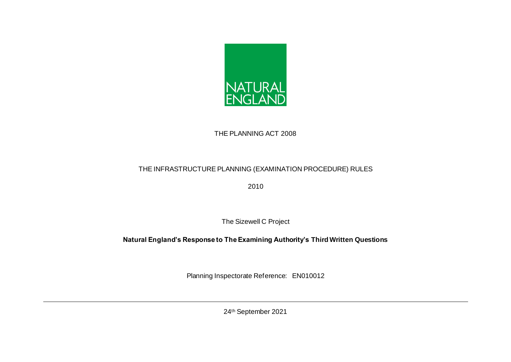

## THE PLANNING ACT 2008

## THE INFRASTRUCTURE PLANNING (EXAMINATION PROCEDURE) RULES

2010

The Sizewell C Project

## **Natural England's Response to The Examining Authority's Third Written Questions**

Planning Inspectorate Reference: EN010012

24th September 2021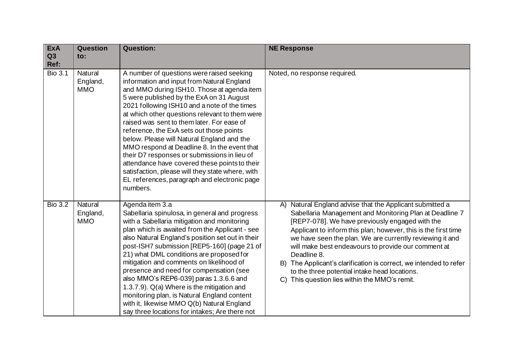| <b>ExA</b><br>Q3<br>Ref: | <b>Question</b><br>$\mathsf{to}$ : | <b>Question:</b>                                                                                                                                                                                                                                                                                                                                                                                                                                                                                                                                                                                                                                                                             | <b>NE Response</b>                                                                                                                                                                                                                                                                                                                                                                                                                                                                                                                                |
|--------------------------|------------------------------------|----------------------------------------------------------------------------------------------------------------------------------------------------------------------------------------------------------------------------------------------------------------------------------------------------------------------------------------------------------------------------------------------------------------------------------------------------------------------------------------------------------------------------------------------------------------------------------------------------------------------------------------------------------------------------------------------|---------------------------------------------------------------------------------------------------------------------------------------------------------------------------------------------------------------------------------------------------------------------------------------------------------------------------------------------------------------------------------------------------------------------------------------------------------------------------------------------------------------------------------------------------|
| <b>Bio 3.1</b>           | Natural<br>England,<br><b>MMO</b>  | A number of questions were raised seeking<br>information and input from Natural England<br>and MMO during ISH10. Those at agenda item<br>5 were published by the ExA on 31 August<br>2021 following ISH10 and a note of the times<br>at which other questions relevant to them were<br>raised was sent to them later. For ease of<br>reference, the ExA sets out those points<br>below. Please will Natural England and the<br>MMO respond at Deadline 8. In the event that<br>their D7 responses or submissions in lieu of<br>attendance have covered these points to their<br>satisfaction, please will they state where, with<br>EL references, paragraph and electronic page<br>numbers. | Noted, no response required.                                                                                                                                                                                                                                                                                                                                                                                                                                                                                                                      |
| <b>Bio 3.2</b>           | Natural<br>England,<br><b>MMO</b>  | Agenda item 3.a<br>Sabellaria spinulosa, in general and progress<br>with a Sabellaria mitigation and monitoring<br>plan which is awaited from the Applicant - see<br>also Natural England's position set out in their<br>post-ISH7 submission [REP5-160] (page 21 of<br>21) what DML conditions are proposed for<br>mitigation and comments on likelihood of<br>presence and need for compensation (see<br>also MMO's REP6-039] paras 1.3.6.6 and<br>1.3.7.9). Q(a) Where is the mitigation and<br>monitoring plan, is Natural England content<br>with it, likewise MMO Q(b) Natural England<br>say three locations for intakes; Are there not                                               | A) Natural England advise that the Applicant submitted a<br>Sabellaria Management and Monitoring Plan at Deadline 7<br>[REP7-078]. We have previously engaged with the<br>Applicant to inform this plan; however, this is the first time<br>we have seen the plan. We are currently reviewing it and<br>will make best endeavours to provide our comment at<br>Deadline 8.<br>B) The Applicant's clarification is correct, we intended to refer<br>to the three potential intake head locations.<br>C) This question lies within the MMO's remit. |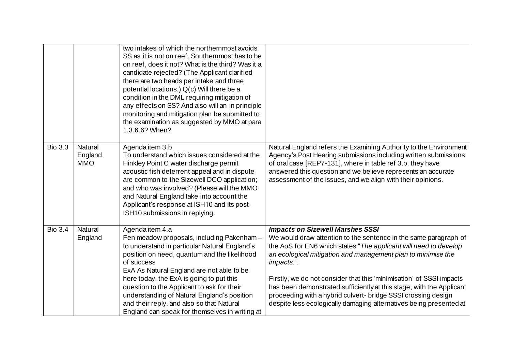|                |                                   | two intakes of which the northernmost avoids<br>SS as it is not on reef. Southernmost has to be<br>on reef, does it not? What is the third? Was it a<br>candidate rejected? (The Applicant clarified<br>there are two heads per intake and three<br>potential locations.) Q(c) Will there be a<br>condition in the DML requiring mitigation of<br>any effects on SS? And also will an in principle<br>monitoring and mitigation plan be submitted to<br>the examination as suggested by MMO at para<br>1.3.6.6? When? |                                                                                                                                                                                                                                                                                                                                                                                                                                                                                                                                                      |
|----------------|-----------------------------------|-----------------------------------------------------------------------------------------------------------------------------------------------------------------------------------------------------------------------------------------------------------------------------------------------------------------------------------------------------------------------------------------------------------------------------------------------------------------------------------------------------------------------|------------------------------------------------------------------------------------------------------------------------------------------------------------------------------------------------------------------------------------------------------------------------------------------------------------------------------------------------------------------------------------------------------------------------------------------------------------------------------------------------------------------------------------------------------|
| <b>Bio 3.3</b> | Natural<br>England,<br><b>MMO</b> | Agenda item 3.b<br>To understand which issues considered at the<br>Hinkley Point C water discharge permit<br>acoustic fish deterrent appeal and in dispute<br>are common to the Sizewell DCO application;<br>and who was involved? (Please will the MMO<br>and Natural England take into account the<br>Applicant's response at ISH10 and its post-<br>ISH10 submissions in replying.                                                                                                                                 | Natural England refers the Examining Authority to the Environment<br>Agency's Post Hearing submissions including written submissions<br>of oral case [REP7-131], where in table ref 3.b. they have<br>answered this question and we believe represents an accurate<br>assessment of the issues, and we align with their opinions.                                                                                                                                                                                                                    |
| <b>Bio 3.4</b> | Natural<br>England                | Agenda item 4.a<br>Fen meadow proposals, including Pakenham -<br>to understand in particular Natural England's<br>position on need, quantum and the likelihood<br>of success<br>ExA As Natural England are not able to be<br>here today, the ExA is going to put this<br>question to the Applicant to ask for their<br>understanding of Natural England's position<br>and their reply, and also so that Natural<br>England can speak for themselves in writing at                                                     | <b>Impacts on Sizewell Marshes SSSI</b><br>We would draw attention to the sentence in the same paragraph of<br>the AoS for EN6 which states "The applicant will need to develop<br>an ecological mitigation and management plan to minimise the<br>impacts.".<br>Firstly, we do not consider that this 'minimisation' of SSSI impacts<br>has been demonstrated sufficiently at this stage, with the Applicant<br>proceeding with a hybrid culvert- bridge SSSI crossing design<br>despite less ecologically damaging alternatives being presented at |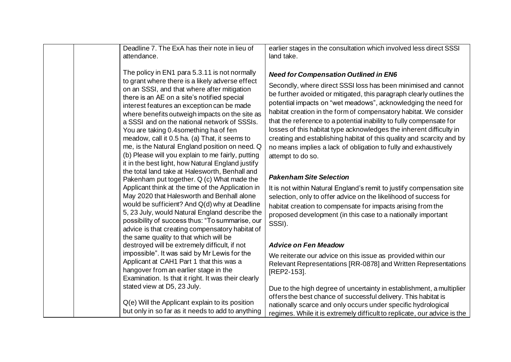| Deadline 7. The ExA has their note in lieu of<br>attendance.                                                                                                                                                                                                                                                                                                                                                                                                                                                                                                                                          | earlier stages in the consultation which involved less direct SSSI<br>land take.                                                                                                                                                                                                                                                                                                                                                                                                                                                                                                                                                             |
|-------------------------------------------------------------------------------------------------------------------------------------------------------------------------------------------------------------------------------------------------------------------------------------------------------------------------------------------------------------------------------------------------------------------------------------------------------------------------------------------------------------------------------------------------------------------------------------------------------|----------------------------------------------------------------------------------------------------------------------------------------------------------------------------------------------------------------------------------------------------------------------------------------------------------------------------------------------------------------------------------------------------------------------------------------------------------------------------------------------------------------------------------------------------------------------------------------------------------------------------------------------|
| The policy in EN1 para 5.3.11 is not normally<br>to grant where there is a likely adverse effect<br>on an SSSI, and that where after mitigation<br>there is an AE on a site's notified special<br>interest features an exception can be made<br>where benefits outweigh impacts on the site as<br>a SSSI and on the national network of SSSIs.<br>You are taking 0.4 something ha of fen<br>meadow, call it 0.5 ha. (a) That, it seems to<br>me, is the Natural England position on need. Q<br>(b) Please will you explain to me fairly, putting<br>it in the best light, how Natural England justify | <b>Need for Compensation Outlined in EN6</b><br>Secondly, where direct SSSI loss has been minimised and cannot<br>be further avoided or mitigated, this paragraph clearly outlines the<br>potential impacts on "wet meadows", acknowledging the need for<br>habitat creation in the form of compensatory habitat. We consider<br>that the reference to a potential inability to fully compensate for<br>losses of this habitat type acknowledges the inherent difficulty in<br>creating and establishing habitat of this quality and scarcity and by<br>no means implies a lack of obligation to fully and exhaustively<br>attempt to do so. |
| the total land take at Halesworth, Benhall and<br>Pakenham put together. Q (c) What made the                                                                                                                                                                                                                                                                                                                                                                                                                                                                                                          | <b>Pakenham Site Selection</b>                                                                                                                                                                                                                                                                                                                                                                                                                                                                                                                                                                                                               |
| Applicant think at the time of the Application in<br>May 2020 that Halesworth and Benhall alone<br>would be sufficient? And Q(d) why at Deadline<br>5, 23 July, would Natural England describe the<br>possibility of success thus: "To summarise, our<br>advice is that creating compensatory habitat of                                                                                                                                                                                                                                                                                              | It is not within Natural England's remit to justify compensation site<br>selection, only to offer advice on the likelihood of success for<br>habitat creation to compensate for impacts arising from the<br>proposed development (in this case to a nationally important<br>SSSI).                                                                                                                                                                                                                                                                                                                                                           |
| the same quality to that which will be<br>destroyed will be extremely difficult, if not                                                                                                                                                                                                                                                                                                                                                                                                                                                                                                               | <b>Advice on Fen Meadow</b>                                                                                                                                                                                                                                                                                                                                                                                                                                                                                                                                                                                                                  |
| impossible". It was said by Mr Lewis for the<br>Applicant at CAH1 Part 1 that this was a<br>hangover from an earlier stage in the<br>Examination. Is that it right. It was their clearly                                                                                                                                                                                                                                                                                                                                                                                                              | We reiterate our advice on this issue as provided within our<br>Relevant Representations [RR-0878] and Written Representations<br>[REP2-153].                                                                                                                                                                                                                                                                                                                                                                                                                                                                                                |
| stated view at D5, 23 July.<br>Q(e) Will the Applicant explain to its position<br>but only in so far as it needs to add to anything                                                                                                                                                                                                                                                                                                                                                                                                                                                                   | Due to the high degree of uncertainty in establishment, a multiplier<br>offers the best chance of successful delivery. This habitat is<br>nationally scarce and only occurs under specific hydrological<br>regimes. While it is extremely difficult to replicate, our advice is the                                                                                                                                                                                                                                                                                                                                                          |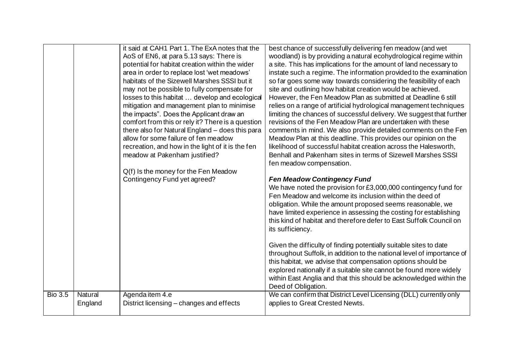|                |                    | it said at CAH1 Part 1. The ExA notes that the<br>AoS of EN6, at para 5.13 says: There is<br>potential for habitat creation within the wider<br>area in order to replace lost 'wet meadows'<br>habitats of the Sizewell Marshes SSSI but it<br>may not be possible to fully compensate for<br>losses to this habitat  develop and ecological<br>mitigation and management plan to minimise<br>the impacts". Does the Applicant draw an<br>comfort from this or rely it? There is a question<br>there also for Natural England - does this para<br>allow for some failure of fen meadow<br>recreation, and how in the light of it is the fen<br>meadow at Pakenham justified?<br>Q(f) Is the money for the Fen Meadow<br>Contingency Fund yet agreed? | best chance of successfully delivering fen meadow (and wet<br>woodland) is by providing a natural ecohydrological regime within<br>a site. This has implications for the amount of land necessary to<br>instate such a regime. The information provided to the examination<br>so far goes some way towards considering the feasibility of each<br>site and outlining how habitat creation would be achieved.<br>However, the Fen Meadow Plan as submitted at Deadline 6 still<br>relies on a range of artificial hydrological management techniques<br>limiting the chances of successful delivery. We suggest that further<br>revisions of the Fen Meadow Plan are undertaken with these<br>comments in mind. We also provide detailed comments on the Fen<br>Meadow Plan at this deadline. This provides our opinion on the<br>likelihood of successful habitat creation across the Halesworth,<br>Benhall and Pakenham sites in terms of Sizewell Marshes SSSI<br>fen meadow compensation.<br><b>Fen Meadow Contingency Fund</b><br>We have noted the provision for £3,000,000 contingency fund for<br>Fen Meadow and welcome its inclusion within the deed of<br>obligation. While the amount proposed seems reasonable, we<br>have limited experience in assessing the costing for establishing<br>this kind of habitat and therefore defer to East Suffolk Council on<br>its sufficiency.<br>Given the difficulty of finding potentially suitable sites to date<br>throughout Suffolk, in addition to the national level of importance of<br>this habitat, we advise that compensation options should be<br>explored nationally if a suitable site cannot be found more widely |
|----------------|--------------------|------------------------------------------------------------------------------------------------------------------------------------------------------------------------------------------------------------------------------------------------------------------------------------------------------------------------------------------------------------------------------------------------------------------------------------------------------------------------------------------------------------------------------------------------------------------------------------------------------------------------------------------------------------------------------------------------------------------------------------------------------|--------------------------------------------------------------------------------------------------------------------------------------------------------------------------------------------------------------------------------------------------------------------------------------------------------------------------------------------------------------------------------------------------------------------------------------------------------------------------------------------------------------------------------------------------------------------------------------------------------------------------------------------------------------------------------------------------------------------------------------------------------------------------------------------------------------------------------------------------------------------------------------------------------------------------------------------------------------------------------------------------------------------------------------------------------------------------------------------------------------------------------------------------------------------------------------------------------------------------------------------------------------------------------------------------------------------------------------------------------------------------------------------------------------------------------------------------------------------------------------------------------------------------------------------------------------------------------------------------------------------------------------------------------------------------------------|
|                |                    |                                                                                                                                                                                                                                                                                                                                                                                                                                                                                                                                                                                                                                                                                                                                                      | within East Anglia and that this should be acknowledged within the<br>Deed of Obligation.                                                                                                                                                                                                                                                                                                                                                                                                                                                                                                                                                                                                                                                                                                                                                                                                                                                                                                                                                                                                                                                                                                                                                                                                                                                                                                                                                                                                                                                                                                                                                                                            |
| <b>Bio 3.5</b> | Natural<br>England | Agenda item 4.e<br>District licensing – changes and effects                                                                                                                                                                                                                                                                                                                                                                                                                                                                                                                                                                                                                                                                                          | We can confirm that District Level Licensing (DLL) currently only<br>applies to Great Crested Newts.                                                                                                                                                                                                                                                                                                                                                                                                                                                                                                                                                                                                                                                                                                                                                                                                                                                                                                                                                                                                                                                                                                                                                                                                                                                                                                                                                                                                                                                                                                                                                                                 |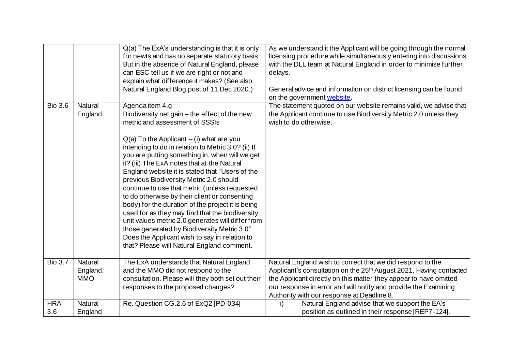|                   |                                   | $Q(a)$ The ExA's understanding is that it is only<br>for newts and has no separate statutory basis.<br>But in the absence of Natural England, please<br>can ESC tell us if we are right or not and<br>explain what difference it makes? (See also<br>Natural England Blog post of 11 Dec 2020.)                                                                                                                                                                                                                                                                                                                                                                                                                                                                                                                       | As we understand it the Applicant will be going through the normal<br>licensing procedure while simultaneously entering into discussions<br>with the DLL team at Natural England in order to minimise further<br>delays.<br>General advice and information on district licensing can be found<br>on the government website.        |
|-------------------|-----------------------------------|-----------------------------------------------------------------------------------------------------------------------------------------------------------------------------------------------------------------------------------------------------------------------------------------------------------------------------------------------------------------------------------------------------------------------------------------------------------------------------------------------------------------------------------------------------------------------------------------------------------------------------------------------------------------------------------------------------------------------------------------------------------------------------------------------------------------------|------------------------------------------------------------------------------------------------------------------------------------------------------------------------------------------------------------------------------------------------------------------------------------------------------------------------------------|
| <b>Bio 3.6</b>    | Natural<br>England                | Agenda item 4.g<br>Biodiversity net gain - the effect of the new<br>metric and assessment of SSSIs<br>$Q(a)$ To the Applicant $-$ (i) what are you<br>intending to do in relation to Metric 3.0? (ii) If<br>you are putting something in, when will we get<br>it? (iii) The ExA notes that at the Natural<br>England website it is stated that "Users of the<br>previous Biodiversity Metric 2.0 should<br>continue to use that metric (unless requested<br>to do otherwise by their client or consenting<br>body) for the duration of the project it is being<br>used for as they may find that the biodiversity<br>unit values metric 2.0 generates will differ from<br>those generated by Biodiversity Metric 3.0".<br>Does the Applicant wish to say in relation to<br>that? Please will Natural England comment. | The statement quoted on our website remains valid, we advise that<br>the Applicant continue to use Biodiversity Metric 2.0 unless they<br>wish to do otherwise.                                                                                                                                                                    |
| <b>Bio 3.7</b>    | Natural<br>England,<br><b>MMO</b> | The ExA understands that Natural England<br>and the MMO did not respond to the<br>consultation. Please will they both set out their<br>responses to the proposed changes?                                                                                                                                                                                                                                                                                                                                                                                                                                                                                                                                                                                                                                             | Natural England wish to correct that we did respond to the<br>Applicant's consultation on the 25 <sup>th</sup> August 2021. Having contacted<br>the Applicant directly on this matter they appear to have omitted<br>our response in error and will notify and provide the Examining<br>Authority with our response at Deadline 8. |
| <b>HRA</b><br>3.6 | Natural<br>England                | Re. Question CG.2.6 of ExQ2 [PD-034]                                                                                                                                                                                                                                                                                                                                                                                                                                                                                                                                                                                                                                                                                                                                                                                  | Natural England advise that we support the EA's<br>i)<br>position as outlined in their response [REP7-124].                                                                                                                                                                                                                        |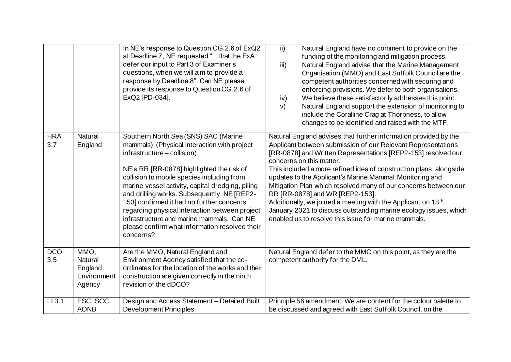|                   |                                                      | In NE's response to Question CG.2.6 of ExQ2<br>at Deadline 7, NE requested "that the ExA<br>defer our input to Part 3 of Examiner's<br>questions, when we will aim to provide a<br>response by Deadline 8". Can NE please<br>provide its response to Question CG.2.6 of<br>ExQ2 [PD-034].                                                                                                                                                                                                                                   | $\mathsf{ii}$<br>Natural England have no comment to provide on the<br>funding of the monitoring and mitigation process.<br>Natural England advise that the Marine Management<br>iii)<br>Organisation (MMO) and East Suffolk Council are the<br>competent authorities concerned with securing and<br>enforcing provisions. We defer to both organisations.<br>We believe these satisfactorily addresses this point.<br>iv)<br>Natural England support the extension of monitoring to<br>V)<br>include the Coralline Crag at Thorpness, to allow<br>changes to be identified and raised with the MTF.                                                                          |
|-------------------|------------------------------------------------------|-----------------------------------------------------------------------------------------------------------------------------------------------------------------------------------------------------------------------------------------------------------------------------------------------------------------------------------------------------------------------------------------------------------------------------------------------------------------------------------------------------------------------------|------------------------------------------------------------------------------------------------------------------------------------------------------------------------------------------------------------------------------------------------------------------------------------------------------------------------------------------------------------------------------------------------------------------------------------------------------------------------------------------------------------------------------------------------------------------------------------------------------------------------------------------------------------------------------|
| <b>HRA</b><br>3.7 | Natural<br>England                                   | Southern North Sea (SNS) SAC (Marine<br>mammals) (Physical interaction with project<br>infrastructure - collision)<br>NE's RR [RR-0878] highlighted the risk of<br>collision to mobile species including from<br>marine vessel activity, capital dredging, piling<br>and drilling works. Subsequently, NE [REP2-<br>153] confirmed it had no further concerns<br>regarding physical interaction between project<br>infrastructure and marine mammals. Can NE<br>please confirm what information resolved their<br>concerns? | Natural England advises that further information provided by the<br>Applicant between submission of our Relevant Representations<br>[RR-0878] and Written Representations [REP2-153] resolved our<br>concerns on this matter.<br>This included a more refined idea of construction plans, alongside<br>updates to the Applicant's Marine Mammal Monitoring and<br>Mitigation Plan which resolved many of our concerns between our<br>RR [RR-0878] and WR [REP2-153].<br>Additionally, we joined a meeting with the Applicant on 18 <sup>th</sup><br>January 2021 to discuss outstanding marine ecology issues, which<br>enabled us to resolve this issue for marine mammals. |
| <b>DCO</b><br>3.5 | MMO,<br>Natural<br>England,<br>Environment<br>Agency | Are the MMO, Natural England and<br>Environment Agency satisfied that the co-<br>ordinates for the location of the works and their<br>construction are given correctly in the ninth<br>revision of the dDCO?                                                                                                                                                                                                                                                                                                                | Natural England defer to the MMO on this point, as they are the<br>competent authority for the DML.                                                                                                                                                                                                                                                                                                                                                                                                                                                                                                                                                                          |
| $LI$ 3.1          | ESC, SCC,<br><b>AONB</b>                             | Design and Access Statement - Detailed Built<br><b>Development Principles</b>                                                                                                                                                                                                                                                                                                                                                                                                                                               | Principle 56 amendment. We are content for the colour palette to<br>be discussed and agreed with East Suffolk Council, on the                                                                                                                                                                                                                                                                                                                                                                                                                                                                                                                                                |